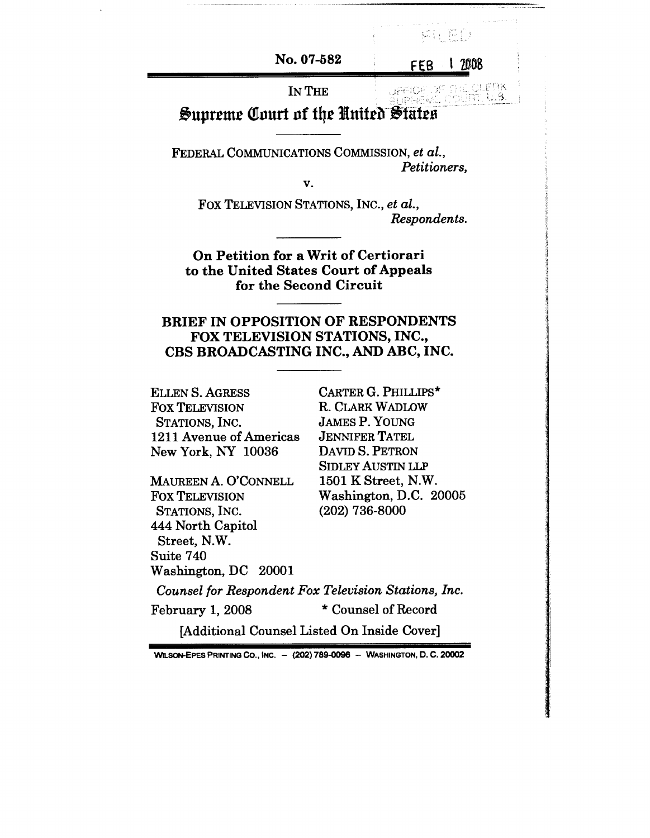**No. 07-582**

FEB 1 2008

病狂 把砂

## **JPFICE** IN THE **Supreme Court of the United States**

FEDERAL COMMUNICATIONS COMMISSION, *et al., Petitioners,*

*V.*

Fox TELEVISION STATIONS, INC., *et al., Respondents.*

**On Petition for a Writ of Certiorari to the United States Court of Appeals for the Second Circuit**

# BRIEF IN OPPOSITION OF RESPONDENTS FOX TELEVISION STATIONS, INC., CBS BROADCASTING INC., AND ABC, INC.

ELLEN S. AGRESS FOX TELEVISION STATIONS, INC. 1211 Avenue of Americas New York, NY 10036

MAUREEN A. O'CONNELL FOX TELEVISION STATIONS, INC. 444 North Capitol Street, N.W. Suite 740 Washington, DC 20001

CARTER G. PHILLIPS\* R. CLARK WADLOW JAMES P. YOUNG JENNIFER TATEL DAVID S. PETRON SIDLEY AUSTIN LLP 1501 K Street, N.W. Washington, D.C. 20005 (202) 736-8000

*Counsel for Respondent Fox Television Stations, Inc.* February 1, 2008 \* Counsel of Record [Additional Counsel Listed On Inside Cover]

WILSON-EPES PRINTING CO., INC. - (202) 789-0096 - WASHINGTON, D. C. 20002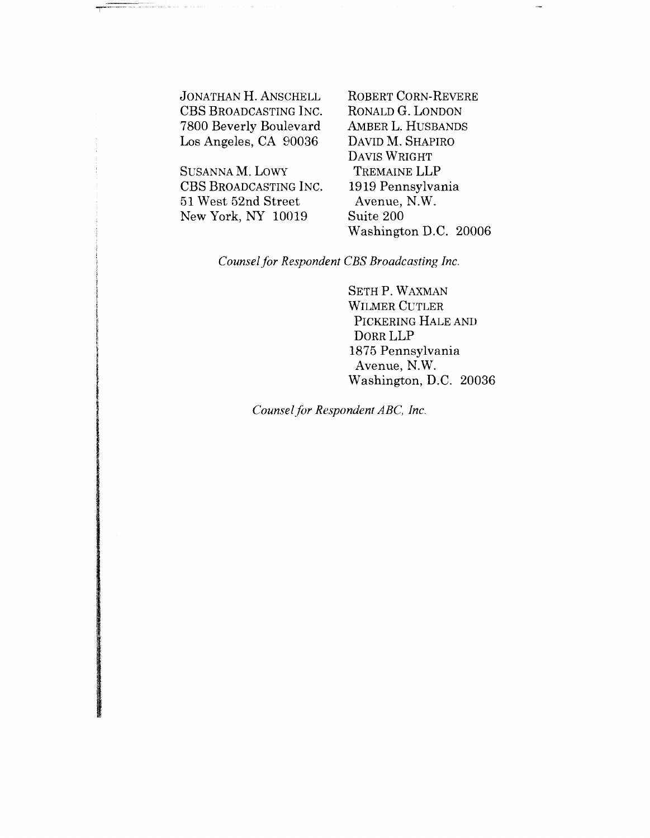JONATHAN H. ANSCHELL CBS BROADCASTING INC. 7800 Beverly Boulevard Los Angeles, CA 90036

SUSANNA M. LOWY CBS BROADCASTING INC. 51 West 52nd Street New York, NY 10019

ROBERT CORN-REVERE RONALD G. LONDON AMBER L. HUSBANDS DAVID M. SHAPIRO DAVIS WRIGHT TREMAINE LLP 1919 Pennsylvania Avenue, N.W. Suite 200 Washington D.C. 20006

*Counsel for Respondent CBS Broadcasting Inc.*

SETH P. WAXMAN WILMER CUTLER PICKERING HALE AND DORR LLP 1875 Pennsylvania Avenue, N.W. Washington, D.C. 20036

*Counsel for Respondent ABC, Inc.*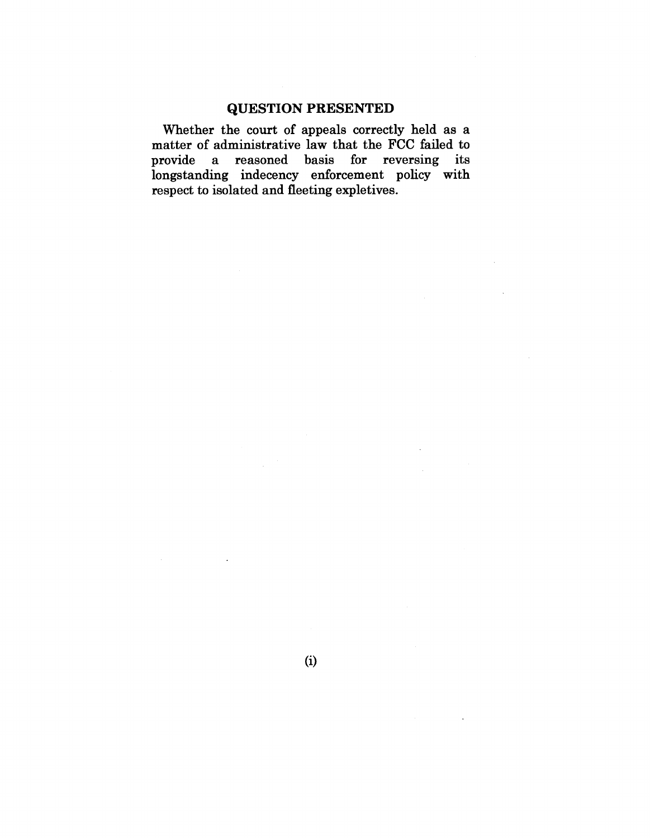# **QUESTION PRESENTED**

Whether the court of appeals correctly held as a matter of administrative law that the FCC failed to provide a reasoned basis for reversing its longstanding indecency enforcement policy with respect to isolated and fleeting expletives.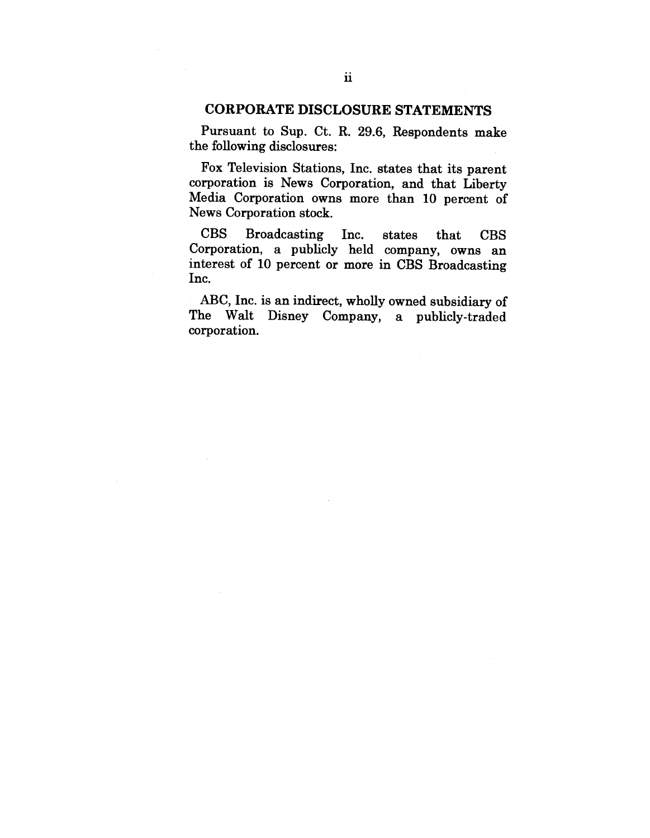## CORPORATE DISCLOSURE STATEMENTS

Pursuant to Sup. Ct. R. 29.6, Respondents make the following disclosures:

Fox Television Stations, Inc. states that its parent corporation is News Corporation, and that Liberty Media Corporation owns more than 10 percent of News Corporation stock.

CBS Broadcasting Inc. states that **CBS** Corporation, a publicly held company, owns an interest of 10 percent or more in CBS Broadcasting Inc.

ABC, Inc. is an indirect, wholly owned subsidiary of The Walt Disney Company, a publicly-traded corporation.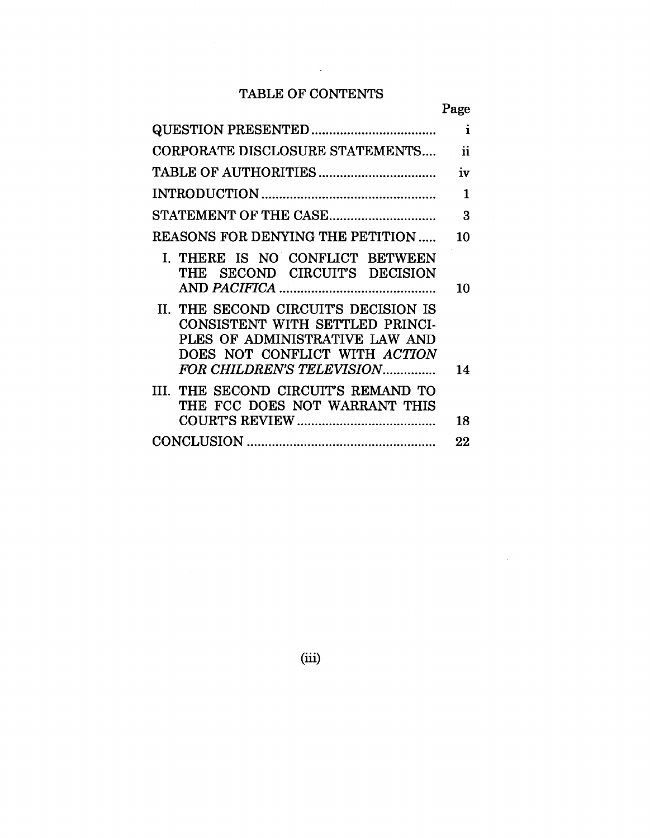# TABLE OF CONTENTS

 $\bar{\beta}$ 

|                                                                                                                                                                         | Page                |
|-------------------------------------------------------------------------------------------------------------------------------------------------------------------------|---------------------|
|                                                                                                                                                                         | $\mathbf{i}$        |
| CORPORATE DISCLOSURE STATEMENTS                                                                                                                                         | $\ddot{\mathbf{n}}$ |
|                                                                                                                                                                         | iv                  |
|                                                                                                                                                                         | $\mathbf{1}$        |
|                                                                                                                                                                         | 3                   |
| <b>REASONS FOR DENYING THE PETITION </b>                                                                                                                                | 10                  |
| I. THERE IS NO CONFLICT BETWEEN<br>THE SECOND CIRCUIT'S DECISION                                                                                                        | 10                  |
| II. THE SECOND CIRCUIT'S DECISION IS<br>CONSISTENT WITH SETTLED PRINCI-<br>PLES OF ADMINISTRATIVE LAW AND<br>DOES NOT CONFLICT WITH ACTION<br>FOR CHILDREN'S TELEVISION | 14                  |
| III. THE SECOND CIRCUIT'S REMAND TO<br>THE FCC DOES NOT WARRANT THIS                                                                                                    | 18                  |
|                                                                                                                                                                         | 22                  |

(iii)

 $\bar{z}$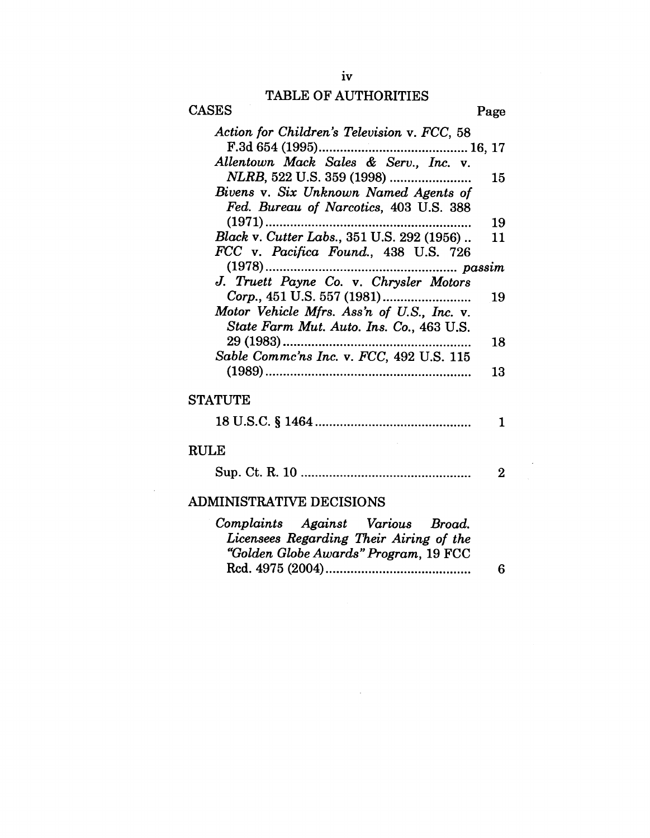# TABLE OF AUTHORITIES

| <b>CASES</b>                                                                                                          | Page     |
|-----------------------------------------------------------------------------------------------------------------------|----------|
| Action for Children's Television v. FCC, 58<br>Allentown Mack Sales & Serv., Inc. v.                                  |          |
|                                                                                                                       | 15       |
| Bivens v. Six Unknown Named Agents of<br>Fed. Bureau of Narcotics, 403 U.S. 388                                       |          |
| $(1971)$                                                                                                              | 19       |
| Black v. Cutter Labs., 351 U.S. 292 (1956)                                                                            | 11       |
| FCC v. Pacifica Found., 438 U.S. 726                                                                                  |          |
| $(1978)$<br>J. Truett Payne Co. v. Chrysler Motors                                                                    |          |
|                                                                                                                       | 19       |
| Motor Vehicle Mfrs. Ass'n of U.S., Inc. v.                                                                            |          |
| State Farm Mut. Auto. Ins. Co., 463 U.S.                                                                              |          |
| 29 (1983)                                                                                                             | 18       |
| Sable Commc'ns Inc. v. FCC, 492 U.S. 115                                                                              | 13       |
| <b>STATUTE</b>                                                                                                        |          |
|                                                                                                                       | 1        |
| <b>RULE</b>                                                                                                           |          |
|                                                                                                                       | $\bf{2}$ |
| <b>ADMINISTRATIVE DECISIONS</b>                                                                                       |          |
| Complaints Against Various Broad.<br>Licensees Regarding Their Airing of the<br>"Golden Globe Awards" Program, 19 FCC | 6        |
|                                                                                                                       |          |

 $\sim 10^7$ 

 $\sim 10$ 

 $\sim 10^{-1}$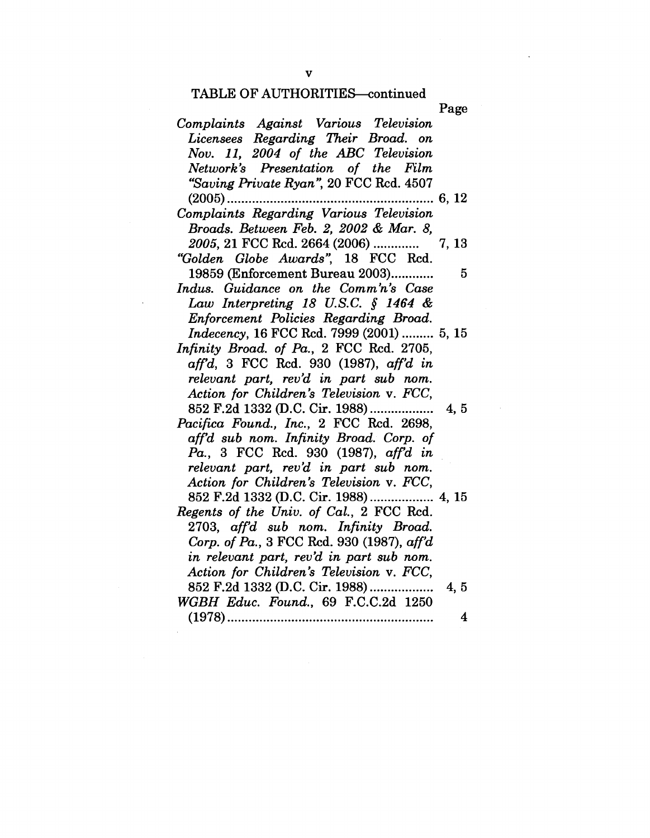|                                            | Page                    |
|--------------------------------------------|-------------------------|
| Complaints Against Various Television      |                         |
| Licensees Regarding Their Broad. on        |                         |
| Nov. 11, 2004 of the ABC Television        |                         |
| Network's Presentation of the Film         |                         |
| "Saving Private Ryan", 20 FCC Rcd. 4507    |                         |
|                                            | 6, 12                   |
| Complaints Regarding Various Television    |                         |
| Broads. Between Feb. 2, 2002 & Mar. 8,     |                         |
|                                            |                         |
| "Golden Globe Awards", 18 FCC Rcd.         |                         |
| 19859 (Enforcement Bureau 2003)            | 5                       |
| Indus. Guidance on the Comm'n's Case       |                         |
| Law Interpreting 18 U.S.C. $\int$ 1464 &   |                         |
| Enforcement Policies Regarding Broad.      |                         |
| Indecency, 16 FCC Rcd. 7999 (2001)  5, 15  |                         |
| Infinity Broad. of Pa., 2 FCC Rcd. 2705,   |                         |
| $affd$ , 3 FCC Rcd. 930 (1987), aff'd in   |                         |
| relevant part, rev'd in part sub nom.      |                         |
| Action for Children's Television v. FCC,   |                         |
| 852 F.2d 1332 (D.C. Cir. 1988)             | 4, 5                    |
| Pacifica Found., Inc., 2 FCC Rcd. 2698,    |                         |
| aff'd sub nom. Infinity Broad. Corp. of    |                         |
| Pa., 3 FCC Rcd. 930 (1987), aff'd in       |                         |
| relevant part, rev'd in part sub nom.      |                         |
| Action for Children's Television v. FCC,   |                         |
| 852 F.2d 1332 (D.C. Cir. 1988)  4, 15      |                         |
| Regents of the Univ. of Cal., 2 FCC Rcd.   |                         |
| 2703, aff'd sub nom. Infinity Broad.       |                         |
| Corp. of Pa., 3 FCC Rcd. 930 (1987), aff'd |                         |
| in relevant part, rev'd in part sub nom.   |                         |
| Action for Children's Television v. FCC,   |                         |
| 852 F.2d 1332 (D.C. Cir. 1988)             | 4, 5                    |
| WGBH Educ. Found., 69 F.C.C.2d 1250        |                         |
|                                            | $\overline{\mathbf{4}}$ |

 $\bar{z}$ 

 $\bar{\mathcal{A}}$ 

 $\bar{\alpha}$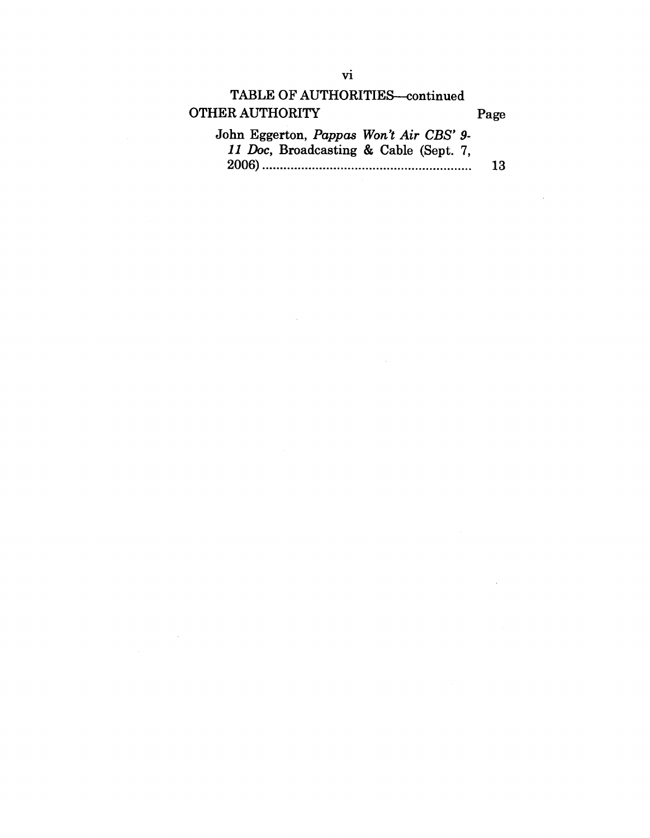| <b>TABLE OF AUTHORITIES-continued</b>   |      |
|-----------------------------------------|------|
| <b>OTHER AUTHORITY</b>                  | Page |
| John Eggerton, Pappas Won't Air CBS' 9- |      |
| 11 Doc, Broadcasting & Cable (Sept. 7,  |      |
|                                         | 13   |

 $\mathcal{L}^{\text{max}}_{\text{max}}$  and  $\mathcal{L}^{\text{max}}_{\text{max}}$ 

 $\label{eq:2.1} \frac{1}{\sqrt{2}}\int_{\mathbb{R}^3}\frac{1}{\sqrt{2}}\left(\frac{1}{\sqrt{2}}\right)^2\left(\frac{1}{\sqrt{2}}\right)^2\frac{1}{\sqrt{2}}\left(\frac{1}{\sqrt{2}}\right)^2\frac{1}{\sqrt{2}}\left(\frac{1}{\sqrt{2}}\right)^2.$ 

 $\label{eq:2.1} \begin{split} \frac{1}{\sqrt{2\pi}}\left(\frac{1}{\sqrt{2\pi}}\right)^{1/2} &\frac{1}{\sqrt{2\pi}}\left(\frac{1}{\sqrt{2\pi}}\right)^{1/2} \frac{1}{\sqrt{2\pi}}\left(\frac{1}{\sqrt{2\pi}}\right)^{1/2} \frac{1}{\sqrt{2\pi}}\left(\frac{1}{\sqrt{2\pi}}\right)^{1/2} \frac{1}{\sqrt{2\pi}}\left(\frac{1}{\sqrt{2\pi}}\right)^{1/2} \frac{1}{\sqrt{2\pi}}\left(\frac{1}{\sqrt{2\pi}}\right)^{1/2} \$ 

 $\hat{\mathcal{A}}$ 

 $\mathcal{A}$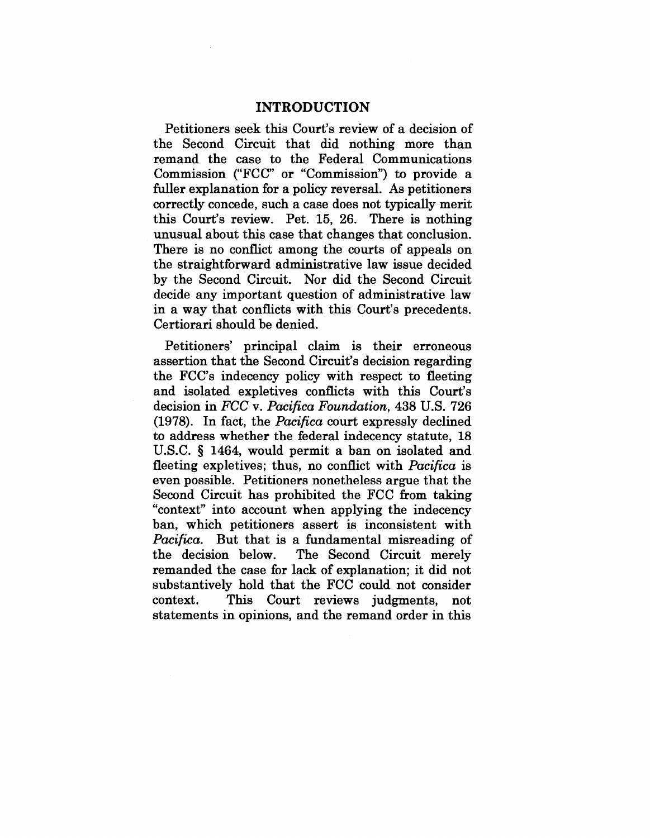#### INTRODUCTION

Petitioners seek this Court's review of a decision of the Second Circuit that did nothing more than remand the case to the Federal Communications Commission ("FCC" or "Commission") to provide a fuller explanation for a policy reversal. As petitioners correctly concede, such a case does not typically merit this Court's review. Pet. 15, 26. There is nothing unusual about this case that changes that conclusion. There is no conflict among the courts of appeals on the straightforward administrative law issue decided by the Second Circuit. Nor did the Second Circuit decide any important question of administrative law in a way that conflicts with this Court's precedents. Certiorari should be denied.

Petitioners' principal claim is their erroneous assertion that the Second Circuit's decision regarding the FCC's indecency policy with respect to fleeting and isolated expletives conflicts with this Court's decision in *FCC v. Pacifica Foundation,* 438 U.S. 726 (1978). In fact, the *Pacifica* court expressly declined to address whether the federal indecency statute, 18 U.S.C. § 1464, would permit a ban on isolated and fleeting expletives; thus, no conflict with *Pacifica* is even possible. Petitioners nonetheless argue that the Second Circuit has prohibited the FCC from taking "context" into account when applying the indecency ban, which petitioners assert is inconsistent with *Pacifica.* But that is a fundamental misreading of the decision below. The Second Circuit merely remanded the case for lack of explanation; it did not substantively hold that the FCC could not consider context. This Court reviews judgments, not statements in opinions, and the remand order in this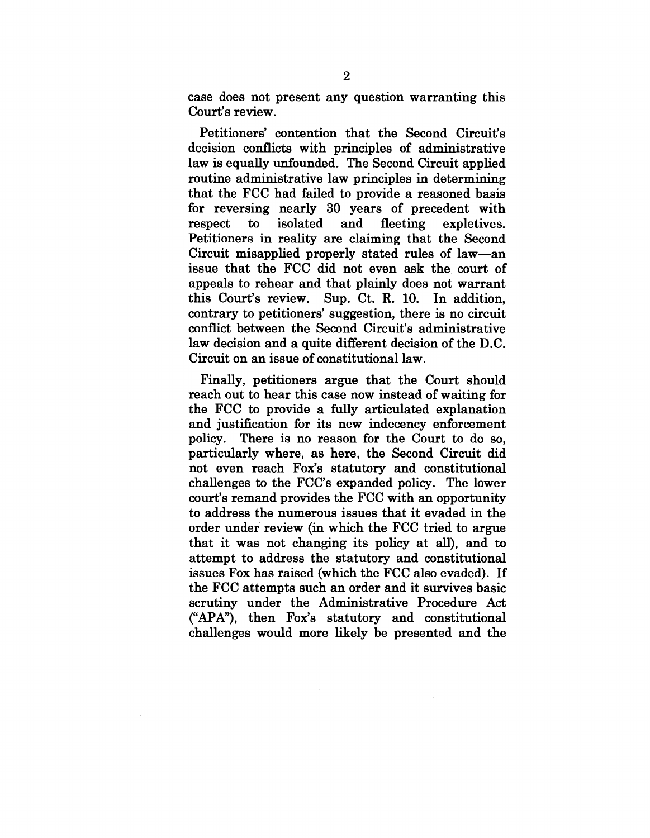case does not present any question warranting this Court's review.

Petitioners' contention that the Second Circuit's decision conflicts with principles of administrative law is equally unfounded. The Second Circuit applied routine administrative law principles in determining that the FCC had failed to provide a reasoned basis for reversing nearly 30 years of precedent with respect to isolated and fleeting expletives. Petitioners in reality are claiming that the Second Circuit misapplied properly stated rules of law--an issue that the FCC did not even ask the court of appeals to rehear and that plainly does not warrant this Court's review. Sup. Ct. R. 10. In addition, contrary to petitioners' suggestion, there is no circuit conflict between the Second Circuit's administrative law decision and a quite different decision of the D.C. Circuit on an issue of constitutional law.

Finally, petitioners argue that the Court should reach out to hear this case now instead of waiting for the FCC to provide a fully articulated explanation and justification for its new indecency enforcement policy. There is no reason for the Court to do so, particularly where, as here, the Second Circuit did not even reach Fox's statutory and constitutional challenges to the FCC's expanded policy. The lower court's remand provides the FCC with an opportunity to address the numerous issues that it evaded in the order under review (in which the FCC tried to argue that it was not changing its policy at all), and to attempt to address the statutory and constitutional issues Fox has raised (which the FCC also evaded). If the FCC attempts such an order and it survives basic scrutiny under the Administrative Procedure Act ("APA"), then Fox's statutory and constitutional challenges would more likely be presented and the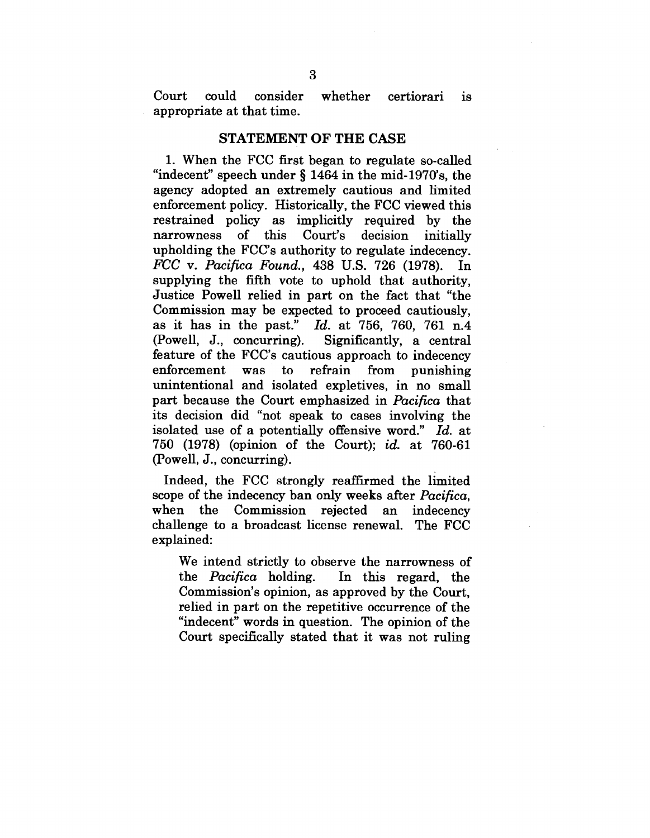Court could consider whether certiorari is appropriate at that time.

#### **STATEMENT OF THE CASE**

1. When the FCC first began to regulate so-called "indecent" speech under § 1464 in the mid-1970's, the agency adopted an extremely cautious and limited enforcement policy. Historically, the FCC viewed this restrained policy as implicitly required by the narrowness of this Court's decision initially upholding the FCC's authority to regulate indecency. *FCC v. Pacifica Found.,* 438 U.S. 726 (1978). In supplying the fifth vote to uphold that authority, Justice Powell relied in part on the fact that "the Commission may be expected to proceed cautiously, as it has in the past." *Id.* at 756, 760, 761 n.4 (Powell, J., concurring). Significantly, a central feature of the FCC's cautious approach to indecency enforcement was to refrain from enforcement was to refrain from punishing<br>unintentional and isolated expletives, in no small part because the Court emphasized in *Pacifica* that its decision did "not speak to cases involving the isolated use of a potentially offensive word." *Id.* at 750 (1978) (opinion of the Court); *id.* at 760-61 (Powe11, J., concurring).

Indeed, the FCC strongly reaffirmed the limited scope of the indecency ban only weeks after *Pacifica,* when the Commission rejected an indecency challenge to a broadcast license renewal. The FCC explained:

We intend strictly to observe the narrowness of the *Pacifica* holding. In this regard, the Commission's opinion, as approved by the Court, relied in part on the repetitive occurrence of the "indecent" words in question. The opinion of the Court specifically stated that it was not ruling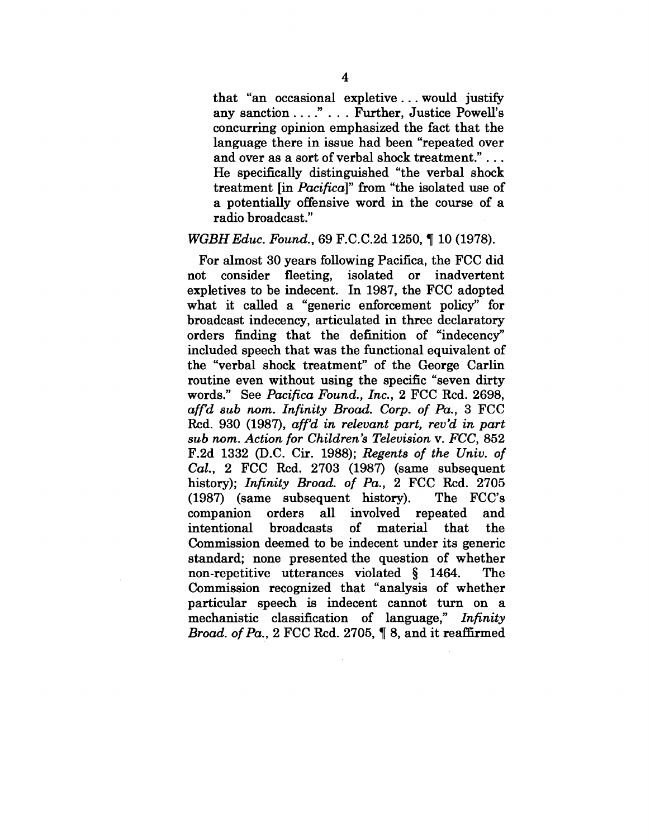that "an occasional expletive.., would justify any sanction ...." ... Further, Justice Powell's concurring opinion emphasized the fact that the language there in issue had been "repeated over and over as a sort of verbal shock treatment."... He specifically distinguished "the verbal shock treatment [in *Pacifica]"* from "the isolated use of a potentially offensive word in the course of a radio broadcast."

## *WGBHEduc. Found.,* 69 F.C.C.2d 1250, ¶ 10 (1978).

For almost 30 years following Pacifica, the FCC did not consider fleeting, isolated or inadvertent expletives to be indecent. In 1987, the FCC adopted what it called a "generic enforcement policy" for broadcast indecency, articulated in three declaratory orders finding that the definition of "indecency" included speech that was the functional equivalent of the "verbal shock treatment" of the George Carlin routine even without using the specific "seven dirty words." See *Pacifica Found., Inc.,* 2 FCC Rcd. 2698, *affd sub nom. Infinity Broad. Corp. of Pa.,* 3 FCC Rcd. 930 (1987), *aff'd in relevant part, rev'd in part sub nora. Action for Children's Television v. FCC,* 852 F.2d 1332 (D.C. Cir. 1988); *Regents of the Univ. of Cal.,* 2 FCC Rcd. 2703 (1987) (same subsequent history); *Infinity Broad. of Pa.,* 2 FCC Rcd. 2705 (1987) (same subsequent history). The FCC's companion orders all involved repeated and intentional broadcasts of material that the Commission deemed to be indecent under its generic standard; none presented the question of whether non-repetitive utterances violated § 1464. The Commission recognized that "analysis of whether particular speech is indecent cannot turn on a mechanistic classification of language," *Infinity Broad. ofPa.,* 2 FCC Rcd. 2705, ¶ 8, and it reaffirmed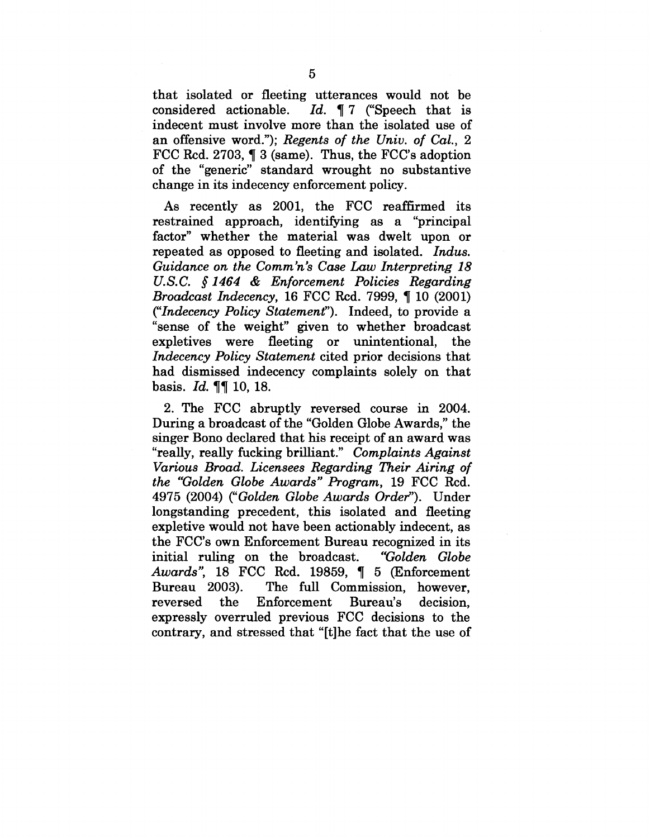that isolated or fleeting utterances would not be considered actionable. *Id.* 17 ("Speech that is indecent must involve more than the isolated use of an offensive word."); *Regents of the Univ. of Cal., 2* FCC Rcd. 2703,  $\P$  3 (same). Thus, the FCC's adoption of the "generic" standard wrought no substantive change in its indecency enforcement policy.

As recently as 2001, the FCC reaffirmed its restrained approach, identifying as a "principal factor" whether the material was dwelt upon or repeated as opposed to fleeting and isolated. *Indus. Guidance on the Comm'n's Case Law Interpreting 18 U.S.C. §1464 & Enforcement Policies Regarding Broadcast Indecency, 16 FCC Rcd. 7999, 10 (2001) ("Indecency Policy Statement').* Indeed, to provide a "sense of the weight" given to whether broadcast expletives were fleeting or unintentional, the *Indecency Policy Statement* cited prior decisions that had dismissed indecency complaints solely on that basis. *Id. 77* 10, 18.

2. The FCC abruptly reversed course in 2004. During a broadcast of the "Golden Globe Awards," the singer Bono declared that his receipt of an award was "really, really fucking brilliant." *Complaints Against Various Broad. Licensees Regarding Their Airing of the "Golden Globe Awards" Program,* 19 FCC Rcd. 4975 (2004) *("Golden Globe Awards Order").* Under longstanding precedent, this isolated and fleeting expletive would not have been actionably indecent, as the FCC's own Enforcement Bureau recognized in its initial ruling on the broadcast. *"Golden Globe Awards"*, 18 FCC Rcd. 19859, ¶ 5 (Enforcement Bureau 2003). The full Commission. however. 003). The full Commission, however,<br>the Enforcement Bureau's decision. reversed the Enforcement Bureau's decision, expressly overruled previous FCC decisions to the contrary, and stressed that "[t]he fact that the use of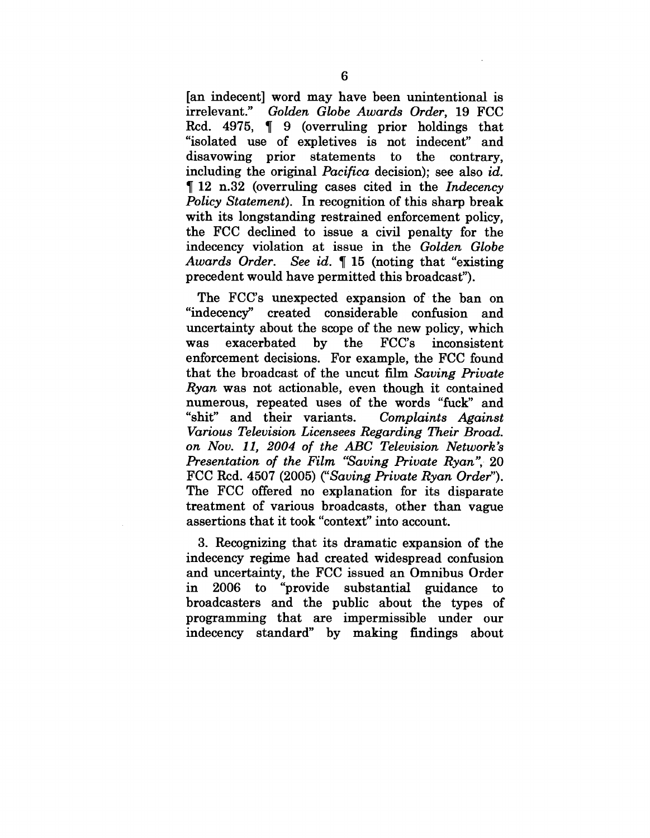[an indecent] word may have been unintentional is irrelevant." Golden Globe Awards Order. 19 FCC irrelevant." *Golden Globe Awards Order,* 19 FCC Rcd. 4975, ¶ 9 (overruling prior holdings that "isolated use of expletives is not indecent" and disavowing prior statements to the contrary. including the original *Pacifica* decision); see also *id.* ¶ 12 n.32 (overruling cases cited in the *Indecency Policy Statement).* In recognition of this sharp break with its longstanding restrained enforcement policy, the FCC declined to issue a civil penalty for the indecency violation at issue in the *Golden Globe Awards Order. See id. ¶* 15 (noting that "existing precedent would have permitted this broadcast").

The FCC's unexpected expansion of the ban on "indecency" created considerable confusion and uncertainty about the scope of the new policy, which was exacerbated by the FCC's inconsistent enforcement decisions. For example, the FCC found that the broadcast of the uncut film *Saving Private Ryan* was not actionable, even though it contained numerous, repeated uses of the words "fuck" and "shit" and their variants. *Complaints Against Various Television Licensees Regarding Their Broad. on Nov. 11, 2004 of the ABC Television Network's Presentation of the Film "Saving Private Ryan", 20* FCC Rcd. 4507 (2005) *("Saving Private Ryan Order").* The FCC offered no explanation for its disparate treatment of various broadcasts, other than vague assertions that it took "context" into account.

3. Recognizing that its dramatic expansion of the indecency regime had created widespread confusion and uncertainty, the FCC issued an Omnibus Order in 2006 to "provide substantial guidance to broadcasters and the public about the types of programming that are impermissible under our indecency standard" by making findings about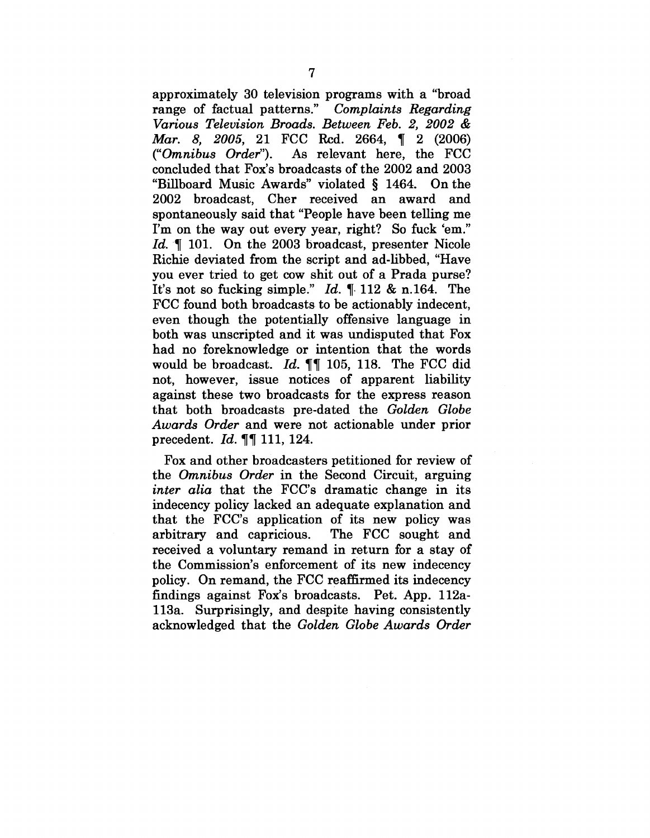approximately 30 television programs with a "broad range of factual patterns." *Complaints Regarding Various Television Broads. Between Feb. 2, 2002 & Mar. 8, 2005,* 21 FCC Rcd. 2664, ¶ 2 (2006)<br>("Omnibus Order"). As relevant here, the FCC As relevant here, the FCC concluded that Fox's broadcasts of the 2002 and 2003 "Billboard Music Awards" violated § 1464. On the 2002 broadcast, Cher received an award and spontaneously said that "People have been telling me I'm on the way out every year, right? So fuck 'em." *Id.* ¶ 101. On the 2003 broadcast, presenter Nicole Richie deviated from the script and ad-libbed, "Have you ever tried to get cow shit out of a Prada purse? It's not so fucking simple."  $Id. \n\ll 112 \& n.164$ . The FCC found both broadcasts to be actionably indecent, even though the potentially offensive language in both was unscripted and it was undisputed that Fox had no foreknowledge or intention that the words would be broadcast. *Id. ¶¶* 105, 118. The FCC did not, however, issue notices of apparent liability against these two broadcasts for the express reason that both broadcasts pre-dated the *Golden Globe Awards Order* and were not actionable under prior precedent. *Id. ¶¶* 111, 124.

Fox and other broadcasters petitioned for review of the *Omnibus Order* in the Second Circuit, arguing *inter alia* that the FCC's dramatic change in its indecency policy lacked an adequate explanation and that the FCC's application of its new policy was arbitrary and capricious. The FCC sought and received a voluntary remand in return for a stay of the Commission's enforcement of its new indecency policy. On remand, the FCC reaffirmed its indecency findings against Fox's broadcasts. Pet. App. l12al13a. Surprisingly, and despite having consistently acknowledged that the *Golden Globe Awards Order*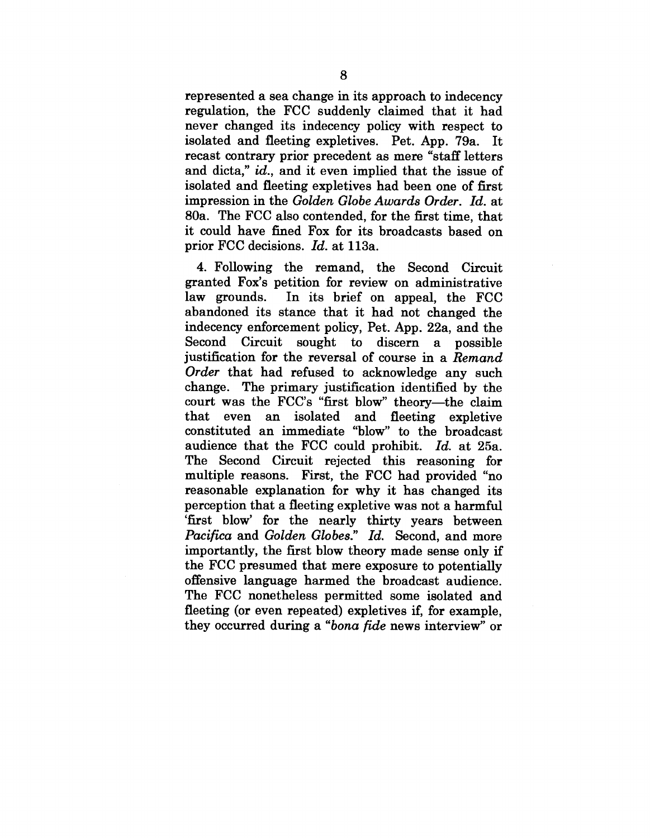represented a sea change in its approach to indecency regulation, the FCC suddenly claimed that it had never changed its indecency policy with respect to isolated and fleeting expletives. Pet. App. 79a. It recast contrary prior precedent as mere "staff letters and dicta," *id.,* and it even implied that the issue of isolated and fleeting expletives had been one of first impression in the *Golden Globe Awards Order. Id.* at 80a. The FCC also contended, for the first time, that it could have fined Fox for its broadcasts based on prior FCC decisions. *Id.* at l13a.

4. Following the remand, the Second Circuit granted Fox's petition for review on administrative law grounds. In its brief on appeal, the FCC abandoned its stance that it had not changed the indecency enforcement policy, Pet. App. 22a, and the Second Circuit sought to discern a possible justification for the reversal of course in a *Remand Order* that had refused to acknowledge any such change. The primary justification identified by the court was the FCC's "first blow" theory--the claim that even an isolated and fleeting expletive constituted an immediate "blow" to the broadcast audience that the FCC could prohibit. *Id.* at 25a. The Second Circuit rejected this reasoning for multiple reasons. First, the FCC had provided "no reasonable explanation for why it has changed its perception that a fleeting expletive was not a harmful 'first blow' for the nearly thirty years between *Pacifica and Golden Globes." Id.* Second, and more importantly, the first blow theory made sense only if the FCC presumed that mere exposure to potentially offensive language harmed the broadcast audience. The FCC nonetheless permitted some isolated and fleeting (or even repeated) expletives if, for example, they occurred during a *"bona fide* news interview" or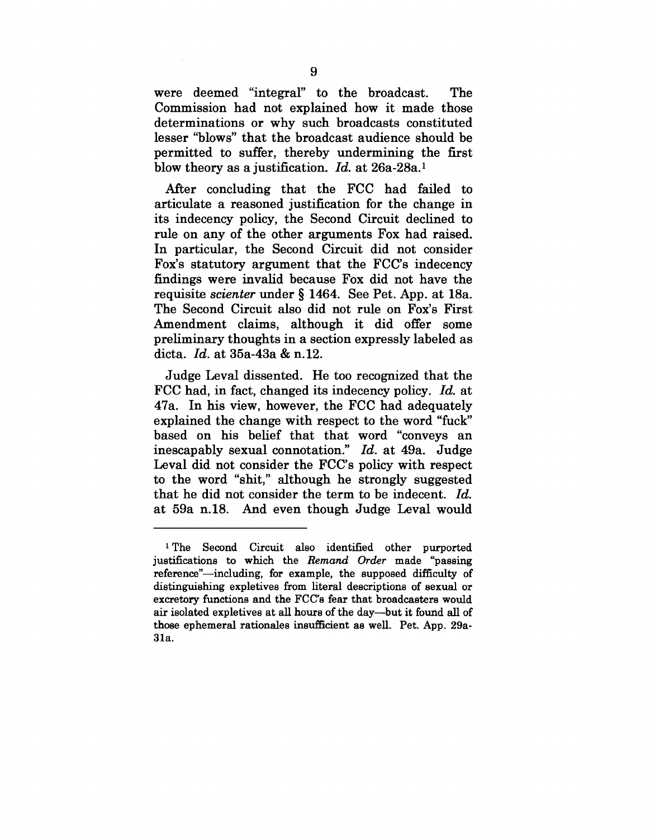were deemed "integral" to the broadcast. The Commission had not explained how it made those determinations or why such broadcasts constituted lesser "blows" that the broadcast audience should be permitted to suffer, thereby undermining the first blow theory as a justification. *Id.* at 26a-28a.1

After concluding that the FCC had failed to articulate a reasoned justification for the change in its indecency policy, the Second Circuit declined to rule on any of the other arguments Fox had raised. In particular, the Second Circuit did not consider Fox's statutory argument that the FCC's indecency findings were invalid because Fox did not have the requisite *scienter* under § 1464. See Pet. App. at 18a. The Second Circuit also did not rule on Fox's First Amendment claims, although it did offer some preliminary thoughts in a section expressly labeled as dicta. *Id.* at 35a-43a & n.12.

Judge Leval dissented. He too recognized that the FCC had, in fact, changed its indecency policy. *Id.* at 47a. In his view, however, the FCC had adequately explained the change with respect to the word "fuck" based on his belief that that word "conveys an inescapably sexual connotation." *Id.* at 49a. Judge Leval did not consider the FCC's policy with respect to the word "shit," although he strongly suggested that he did not consider the term to be indecent. *Id.* at 59a n.18. And even though Judge Leval would

<sup>1</sup> The Second Circuit also identified other purported justifications to which the *Remand Order* made "passing reference"—including, for example, the supposed difficulty of distinguishing expletives from literal descriptions of sexual or excretory functions and the FCC's fear that broadcasters would air isolated expletives at all hours of the day--but it found all of those ephemeral rationales insufficient as well. Pet. App. 29a-31a.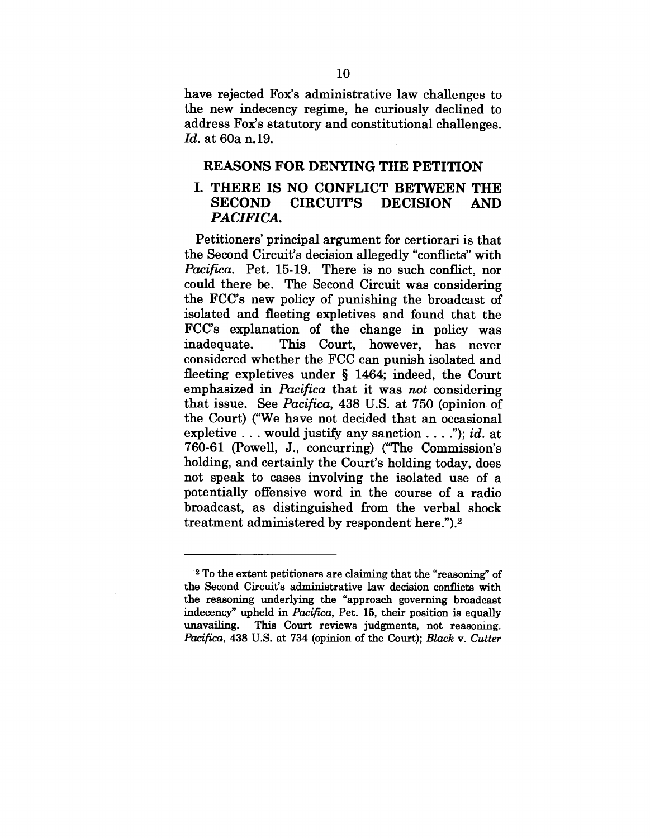have rejected Fox's administrative law challenges to the new indecency regime, he curiously declined to address Fox's statutory and constitutional challenges. *Id.* at 60a n. 19.

## **REASONS FOR DENYING THE PETITION**

# **I. THERE IS NO CONFLICT BETWEEN THE** SECOND CIRCUIT'S DECISION AND *PACIFICA.*

Petitioners' principal argument for certiorari is that the Second Circuit's decision allegedly "conflicts" with *Pacifica.* Pet. 15-19. There is no such conflict, nor could there be. The Second Circuit was considering the FCC's new policy of punishing the broadcast of isolated and fleeting expletives and found that the FCC's explanation of the change in policy was inadequate. This Court, however, has never considered whether the FCC can punish isolated and fleeting expletives under § 1464; indeed, the Court emphasized in *Pacifica* that it was *not* considering that issue. See *Pacifica,* 438 U.S. at 750 (opinion of the Court) ("We have not decided that an occasional expletive  $\dots$  would justify any sanction  $\dots$ ."); *id.* at 760-61 (Powell, J., concurring) ("The Commission's holding, and certainly the Court's holding today, does not speak to cases involving the isolated use of a potentially offensive word in the course of a radio broadcast, as distinguished from the verbal shock treatment administered by respondent here.").2

<sup>~</sup> To the extent petitioners are claiming that the "reasoning" of the Second Circuit's administrative law decision conflicts with the reasoning underlying the "approach governing broadcast indecency" upheld in *Pacifica,* Pet. 15, their position is equally unavailing. This Court reviews judgments, not reasoning. *Pacifica,* 438 U.S. at 734 (opinion of the Court); *Black v. Cutter*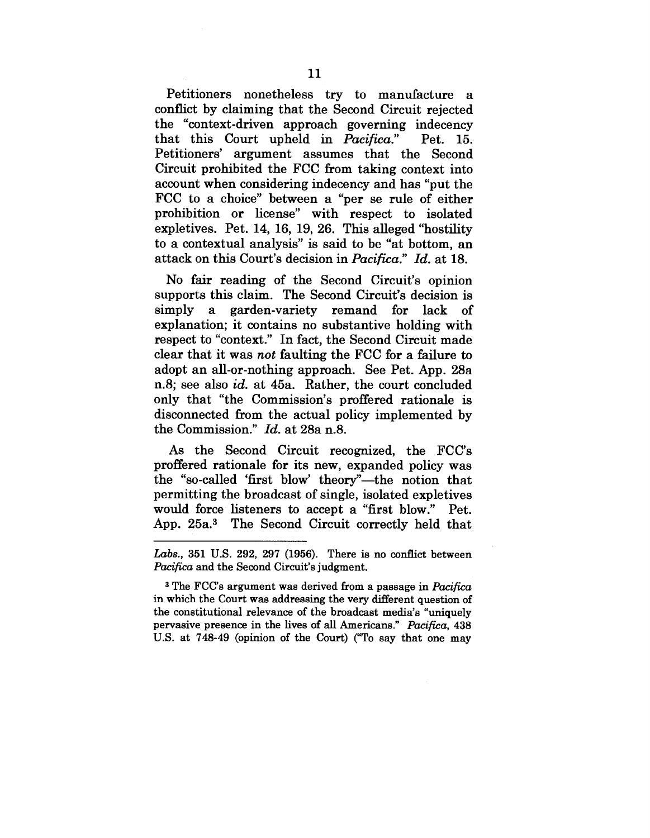Petitioners nonetheless try to manufacture a conflict by claiming that the Second Circuit rejected the "context-driven approach governing indecency that this Court upheld in *Pacifica.*" that this Court upheld in *Pacifica*." Pet. 15.<br>Petitioners' argument assumes that the Second Circuit prohibited the FCC from taking context into account when considering indecency and has "put the FCC to a choice" between a "per se rule of either prohibition or license" with respect to isolated expletives. Pet. 14, 16, 19, 26. This alleged "hostility to a contextual analysis" is said to be "at bottom, an attack on this Court's decision in *Pacifica." Id.* at 18.

No fair reading of the Second Circuit's opinion supports this claim. The Second Circuit's decision is simply a garden-variety remand for lack of explanation; it contains no substantive holding with respect to "context." In fact, the Second Circuit made clear that it was *not* faulting the FCC for a failure to adopt an all-or-nothing approach. See Pet. App. 28a n.8; see also *id.* at 45a. Rather, the court concluded only that "the Commission's proffered rationale is disconnected from the actual policy implemented by the Commission." *Id.* at 28a n.8.

As the Second Circuit recognized, the FCC's proffered rationale for its new, expanded policy was the "so-called 'first blow' theory"—the notion that permitting the broadcast of single, isolated expletives would force listeners to accept a "first blow." Pet. App. 25a.3 The Second Circuit correctly held that

*Labs.,* 351 U.S. 292, 297 (1956). There is no conflict between *Pacifica* and the Second Circuit's judgment.

<sup>3</sup> The FCC's argument was derived from a passage in *Pacifica* in which the Court was addressing the very different question of the constitutional relevance of the broadcast media's "uniquely pervasive presence in the lives of all Americans." *Pacifica,* 438 U.S. at 748-49 (opinion of the Court) ("To say that one may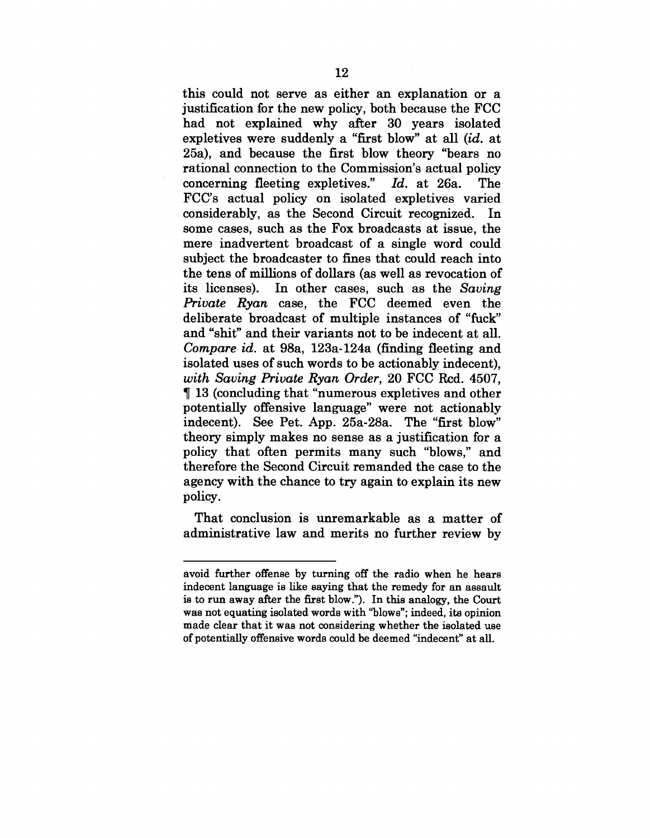this could not serve as either an explanation or a justification for the new policy, both because the FCC had not explained why after 30 years isolated expletives were suddenly a "first blow" at all *(id.* at 25a), and because the first blow theory "bears no rational connection to the Commission's actual policy concerning fleeting expletives." *Id.* at 26a. The FCC's actual policy on isolated expletives varied considerably, as the Second Circuit recognized. In some cases, such as the Fox broadcasts at issue, the mere inadvertent broadcast of a single word could subject the broadcaster to fines that could reach into the tens of millions of dollars (as well as revocation of its licenses). In other cases, such as the *Saving Private Ryan* case, the FCC deemed even the deliberate broadcast of multiple instances of "fuck" and "shit" and their variants not to be indecent at all. *Compare id.* at 98a, 123a-124a (finding fleeting and isolated uses of such words to be actionably indecent), *with Saving Private Ryan Order,* 20 FCC Rcd. 4507, ¶ 13 (concluding that "numerous expletives and other potentially offensive language" were not actionably indecent). See Pet. App. 25a-28a. The "first blow" theory simply makes no sense as a justification for a policy that often permits many such "blows," and therefore the Second Circuit remanded the case to the agency with the chance to try again to explain its new policy.

That conclusion is unremarkable as a matter of administrative law and merits no further review by

avoid further offense by turning off the radio when he hears indecent language is like saying that the remedy for an assault is to run away after the first blow."). In this analogy, the Court was not equating isolated words with "blows"; indeed, its opinion made clear that it was not considering whether the isolated use of potentially offensive words could be deemed "indecent" at all.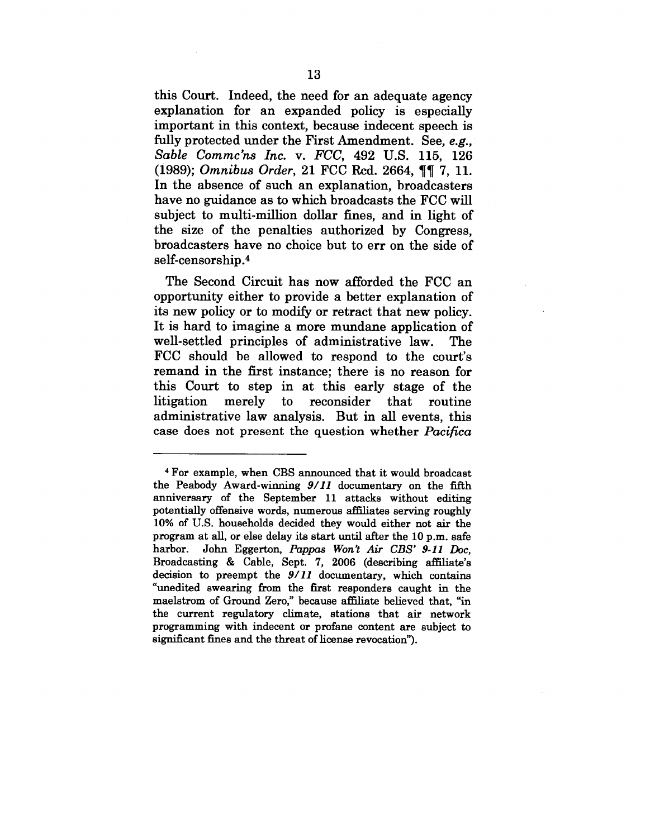this Court. Indeed, the need for an adequate agency explanation for an expanded policy is especially important in this context, because indecent speech is fully protected under the First Amendment. See, *e.g., Sable Commc'ns Inc. v. FCC,* 492 U.S. 115, 126 (1989); *Omnibus Order,* 21 FCC Rcd. 2664, ¶¶ 7, 11. In the absence of such an explanation, broadcasters have no guidance as to which broadcasts the FCC will subject to multi-million dollar fines, and in light of the size of the penalties authorized by Congress, broadcasters have no choice but to err on the side of self-censorship .4

The Second Circuit has now afforded the FCC an opportunity either to provide a better explanation of its new policy or to modify or retract that new policy. It is hard to imagine a more mundane application of well-settled principles of administrative law. The FCC should be allowed to respond to the court's remand in the first instance; there is no reason for this Court to step in at this early stage of the litigation merely to reconsider that routine administrative law analysis. But in all events, this case does not present the question whether *Pacifica*

<sup>4</sup> For example, when CBS announced that it would broadcast the Peabody Award-winning *9/11* documentary on the fifth anniversary of the September 11 attacks without editing potentially offensive words, numerous affiliates serving roughly 10% of U.S. households decided they would either not air the program at all, or else delay its start until after the 10 p.m. safe harbor. John Eggerton, *Pappas Won't Air CBS" 9-11 Doc,* Broadcasting & Cable, Sept. 7, 2006 (describing affiliate's decision to preempt the *9/11* documentary, which contains "unedited swearing from the first responders caught in the maelstrom of Ground Zero," because affiliate believed that, "in the current regulatory climate, stations that air network programming with indecent or profane content are subject to significant fines and the threat of license revocation").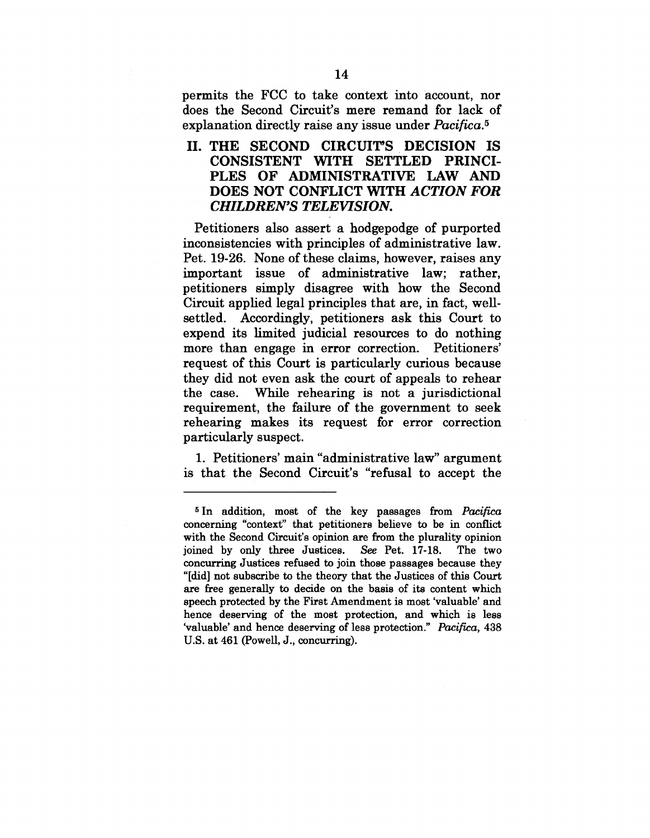permits the FCC to take context into account, nor does the Second Circuit's mere remand for lack of explanation directly raise any issue under *Pacifica*.<sup>5</sup>

II. THE SECOND CIRCUIT'S DECISION IS CONSISTENT WITH SETTLED PRINCI-PLES OF ADMINISTRATIVE LAW AND DOES NOT CONFLICT WITH *ACTION FOR CHILDREN'S TELEVISION.*

Petitioners also assert a hodgepodge of purported inconsistencies with principles of administrative law. Pet. 19-26. None of these claims, however, raises any important issue of administrative law; rather, petitioners simply disagree with how the Second Circuit applied legal principles that are, in fact, wellsettled. Accordingly, petitioners ask this Court to expend its limited judicial resources to do nothing more than engage in error correction. Petitioners' request of this Court is particularly curious because they did not even ask the court of appeals to rehear the case. While rehearing is not a jurisdictional requirement, the failure of the government to seek rehearing makes its request for error correction particularly suspect.

1. Petitioners' main "administrative law" argument is that the Second Circuit's "refusal to accept the

<sup>5</sup>In addition, most of the key passages from *Pacifica* concerning "context" that petitioners believe to be in conflict with the Second Circuit's opinion are from the plurality opinion joined by only three Justices. *See* Pet. 17-18. The two concurring Justices refused to join those passages because they "[did] not subscribe to the theory that the Justices of this Court are free generally to decide on the basis of its content which speech protected by the First Amendment is most 'valuable' and hence deserving of the most protection, and which is less 'valuable' and hence deserving of less protection." *Pacifica,* 438 U.S. at 461 (Powell, J., concurring).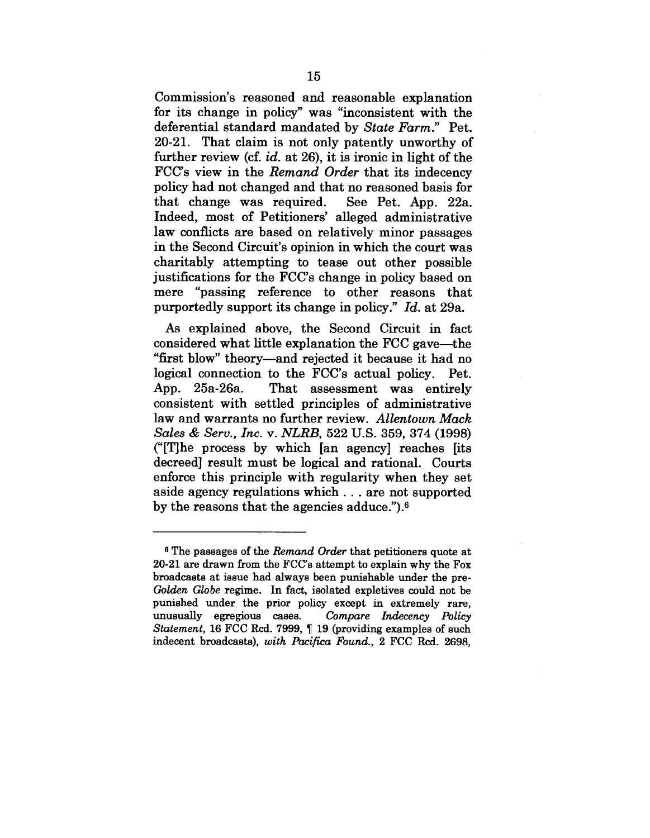Commission's reasoned and reasonable explanation for its change in policy" was "inconsistent with the deferential standard mandated by *State Farm."* Pet. 20-21. That claim is not only patently unworthy of further review (cf. *id.* at 26), it is ironic in light of the FCC's view in the *Remand Order* that its indecency policy had not changed and that no reasoned basis for that change was required. See Pet. App. 22a. Indeed, most of Petitioners' alleged administrative law conflicts are based on relatively minor passages in the Second Circuit's opinion in which the court was charitably attempting to tease out other possible justifications for the FCC's change in policy based on mere "passing reference to other reasons that purportedly support its change in policy." *Id.* at 29a.

As explained above, the Second Circuit in fact considered what little explanation the FCC gave--the "first blow" theory--and rejected it because it had no logical connection to the FCC's actual policy. Pet. App. 25a-26a. That assessment was entirely consistent with settled principles of administrative law and warrants no further review. *Allentown Mack Sales & Serv., Inc. v. NLRB,* 522 U.S. 359, 374 (1998) ("[T]he process by which [an agency] reaches [its decreed] result must be logical and rational. Courts enforce this principle with regularity when they set aside agency regulations which.., are not supported by the reasons that the agencies adduce.").6

s The passages of the *Remand Order* that petitioners quote at 20-21 are drawn from the FCC's attempt to explain why the Fox broadcasts at issue had always been punishable under the pre-*Golden Globe* regime. In fact, isolated expletives could not be punished under the prior policy except in extremely rare, unusually egregious cases. *Compare Indecency Policy Statement,* 16 FCC Rcd. 7999, ¶ 19 (providing examples of such indecent broadcasts), *with Pacifica Found.,* 2 FCC Rcd. 2698,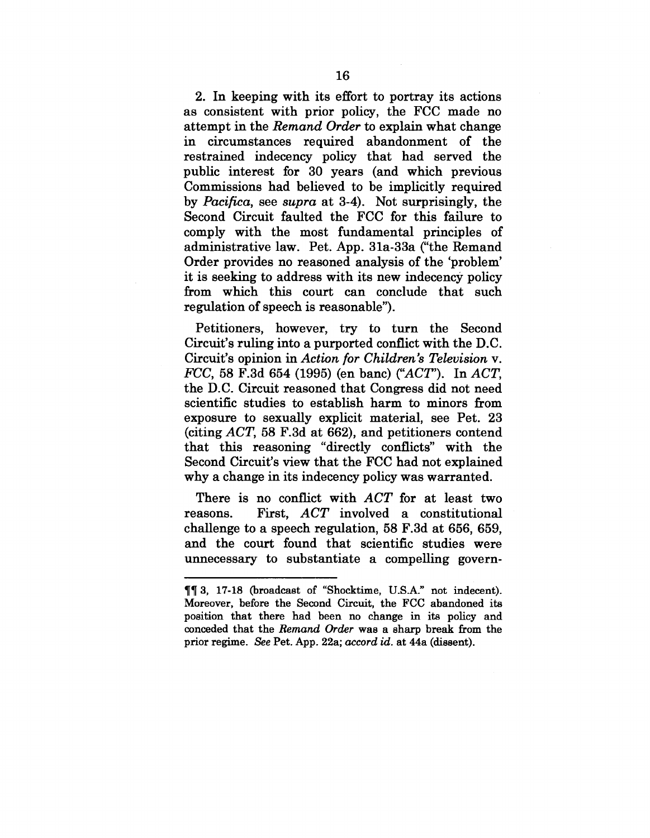2. In keeping with its effort to portray its actions as consistent with prior policy, the FCC made no attempt in the *Reraand Order* to explain what change in circumstances required abandonment of the restrained indecency policy that had served the public interest for 30 years (and which previous Commissions had believed to be implicitly required by *Pacifica,* see *supra* at 3-4). Not surprisingly, the Second Circuit faulted the FCC for this failure to comply with the most fundamental principles of administrative law. Pet. App. 31a-33a ("the Remand Order provides no reasoned analysis of the 'problem' it is seeking to address with its new indecency policy from which this court can conclude that such regulation of speech is reasonable").

Petitioners, however, try to turn the Second Circuit's ruling into a purported conflict with the D.C. Circuit's opinion in *Action for Children's Television v. FCC,* 58 F.3d 654 (1995) (en banc) ("ACT'). In *ACT,* the D.C. Circuit reasoned that Congress did not need scientific studies to establish harm to minors from exposure to sexually explicit material, see Pet. 23 (citing *ACT,* 58 F.3d at 662), and petitioners contend that this reasoning "directly conflicts" with the Second Circuit's view that the FCC had not explained why a change in its indecency policy was warranted.

There is no conflict with *ACT* for at least two reasons. First, *ACT* involved a constitutional challenge to a speech regulation, 58 F.3d at 656, 659, and the court found that scientific studies were unnecessary to substantiate a compelling govern-

<sup>¶¶ 3, 17-18 (</sup>broadcast of "Shocktime, U.S.A." not indecent). Moreover, before the Second Circuit, the FCC abandoned its position that there had been no change in its policy and conceded that the *Remand Order* was a sharp break from the prior regime. *See* Pet. App. 22a; *accord id.* at 44a (dissent).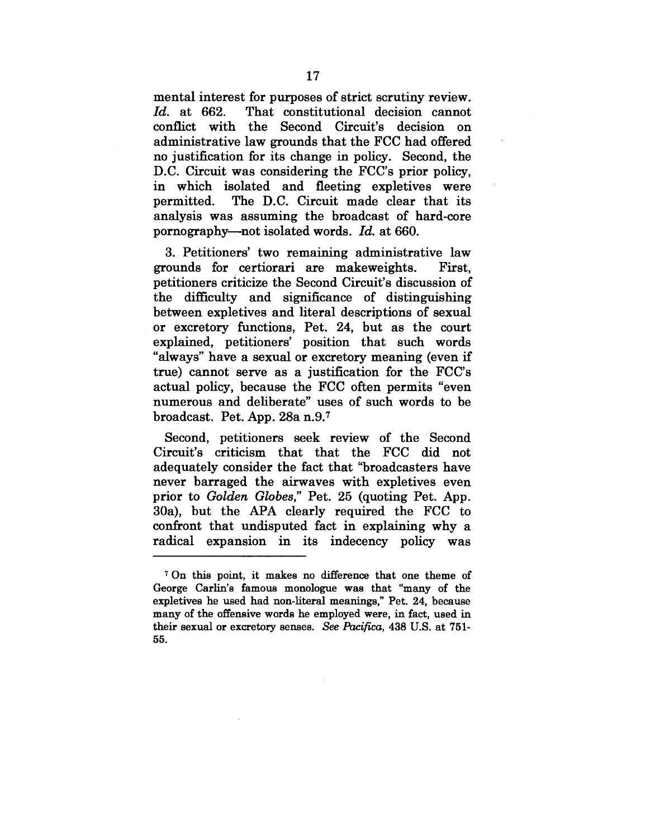mental interest for purposes of strict scrutiny review. *Id.* at 662. That constitutional decision cannot conflict with the Second Circuit's decision on administrative law grounds that the FCC had offered no justification for its change in policy. Second, the D.C. Circuit was considering the FCC's prior policy, in which isolated and fleeting expletives were permitted. The D.C. Circuit made clear that its analysis was assuming the broadcast of hard-core pornography--not isolated words. *Id.* at 660.

3. Petitioners' two remaining administrative law grounds for certiorari are makeweights. First, petitioners criticize the Second Circuit's discussion of the difficulty and significance of distinguishing between expletives and literal descriptions of sexual or excretory functions, Pet. 24, but as the court explained, petitioners' position that such words "always" have a sexual or excretory meaning (even if true) cannot serve as a justification for the FCC's actual policy, because the FCC often permits "even numerous and deliberate" uses of such words to be broadcast. Pet. App. 28a n.9.7

Second, petitioners seek review of the Second Circuit's criticism that that the FCC did not adequately consider the fact that "broadcasters have never barraged the airwaves with expletives even prior to *Golden Globes,"* Pet. 25 (quoting Pet. App. 30a), but the APA clearly required the FCC to confront that undisputed fact in explaining why a radical expansion in its indecency policy was

<sup>7</sup> On this point, it makes no difference that one theme of George Carlin's famous monologue was that "many of the expletives he used had non-literal meanings," Pet. 24, because many of the offensive words he employed were, in fact, used in their sexual or excretory senses. *See Pacifica,* 438 U.S. at 751- 55.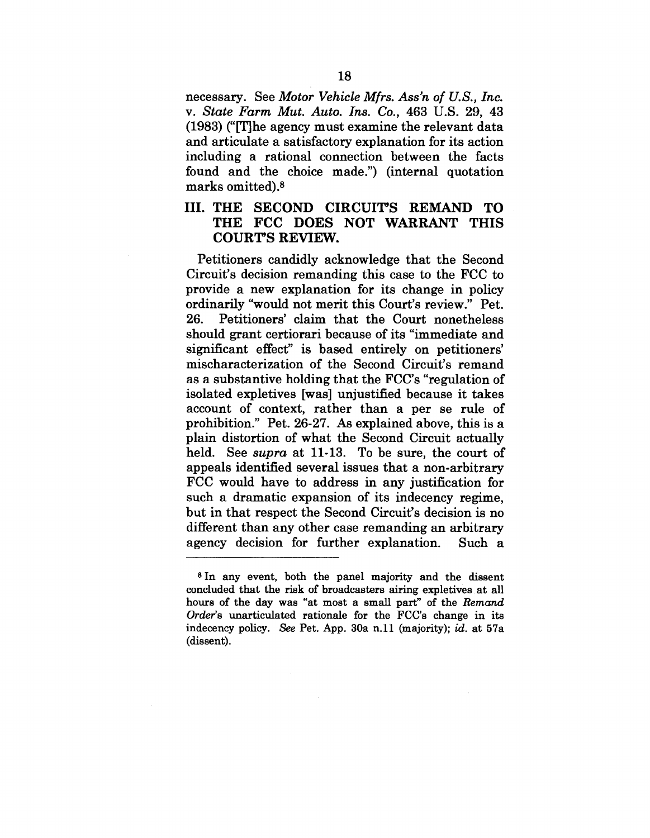necessary. See *Motor Vehicle Mfrs. Ass'n of U.S., Inc. v. State Farm Mut. Auto. Ins. Co.,* 463 U.S. 29, 43 (1983) ("[T]he agency must examine the relevant data and articulate a satisfactory explanation for its action including a rational connection between the facts found and the choice made.") (internal quotation marks omitted).<sup>8</sup>

# III. THE SECOND CIRCUIT'S REMAND TO THE FCC DOES NOT WARRANT THIS COURT'S REVIEW.

Petitioners candidly acknowledge that the Second Circuit's decision remanding this case to the FCC to provide a new explanation for its change in policy ordinarily "would not merit this Court's review." Pet. 26. Petitioners' claim that the Court nonetheless should grant certiorari because of its "immediate and significant effect" is based entirely on petitioners' mischaracterization of the Second Circuit's remand as a substantive holding that the FCC's "regulation of isolated expletives [was] unjustified because it takes account of context, rather than a per se rule of prohibition." Pet. 26-27. As explained above, this is a plain distortion of what the Second Circuit actually held. See *supra* at 11-13. To be sure, the court of appeals identified several issues that a non-arbitrary FCC would have to address in any justification for such a dramatic expansion of its indecency regime, but in that respect the Second Circuit's decision is no different than any other case remanding an arbitrary agency decision for further explanation. Such a

<sup>8</sup> In any event, both the panel majority and the dissent concluded that the risk of broadcasters airing expletives at all hours of the day was "at most a small part" of the *Remand Order's* unarticulated rationale for the FCC's change in its indecency policy. See Pet. App. 30a n.11 (majority); id. at 57a (dissent).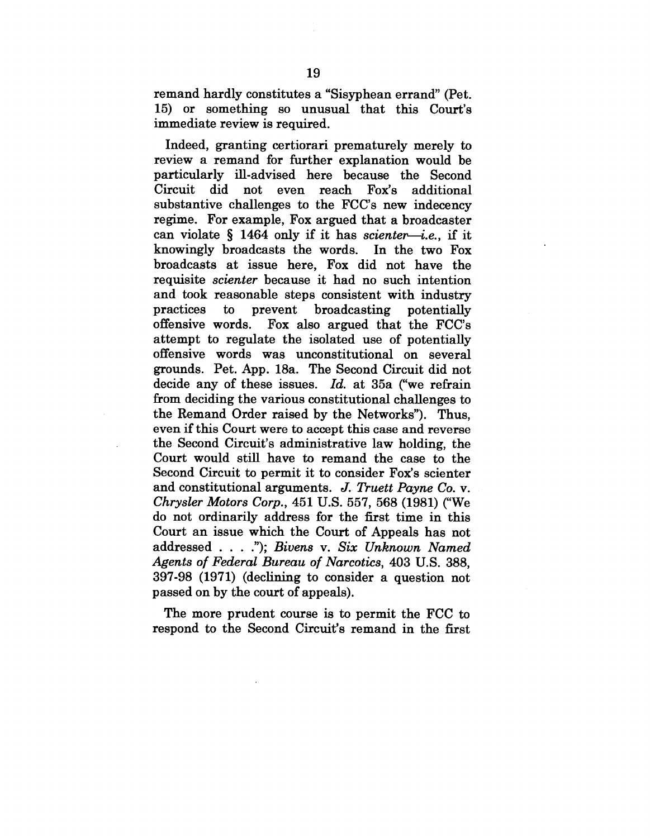remand hardly constitutes a "Sisyphean errand" (Pet. 15) or something so unusual that this Court's immediate review is required.

Indeed, granting certiorari prematurely merely to review a remand for further explanation would be particularly ill-advised here because the Second  $Circuit$  did not even reach  $Fox's$ additional substantive challenges to the FCC's new indecency regime. For example, Fox argued that a broadcaster can violate § 1464 only if it has *scienter~i.e., if* it knowingly broadcasts the words. In the two Fox broadcasts at issue here, Fox did not have the requisite *scienter* because it had no such intention and took reasonable steps consistent with industry practices to prevent broadcasting potentially offensive words. Fox also argued that the FCC's attempt to regulate the isolated use of potentially offensive words was unconstitutional on several grounds. Pet. App. 18a. The Second Circuit did not decide any of these issues. *Id.* at 35a ("we refrain from deciding the various constitutional challenges to the Remand Order raised by the Networks"). Thus, even if this Court were to accept this case and reverse the Second Circuit's administrative law holding, the Court would still have to remand the case to the Second Circuit to permit it to consider Fox's scienter and constitutional arguments. *J. Truett Payne Co. v. Chrysler Motors Corp.,* 451 U.S. 557, 568 (1981) ("We do not ordinarily address for the first time in this Court an issue which the Court of Appeals has not addressed .... "); *Bivens v. Six Unknown Named Agents of Federal Bureau of Narcotics,* 403 U.S. 388, 397-98 (1971) (declining to consider a question not passed on by the court of appeals).

The more prudent course is to permit the FCC to respond to the Second Circuit's remand in the first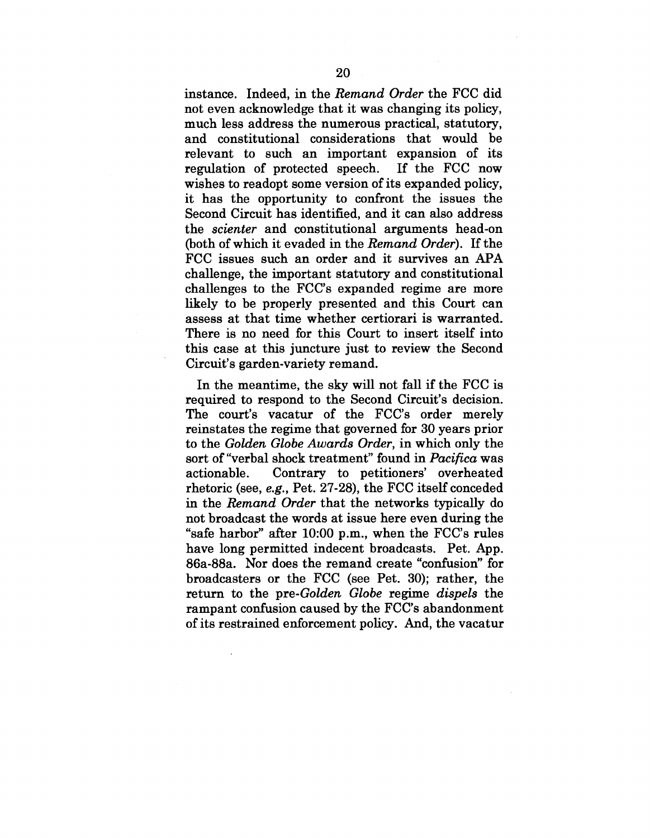instance. Indeed, in the *Remand Order* the FCC did not even acknowledge that it was changing its policy, much less address the numerous practical, statutory, and constitutional considerations that would be relevant to such an important expansion of its regulation of protected speech. If the FCC now wishes to readopt some version of its expanded policy, it has the opportunity to confront the issues the Second Circuit has identified, and it can also address the *scienter* and constitutional arguments head.-on (both of which it evaded in the *Remand Order).* If the FCC issues such an order and it survives an APA challenge, the important statutory and constitutional challenges to the FCC's expanded regime are more likely to be properly presented and this Court can assess at that time whether certiorari is warranted. There is no need for this Court to insert itself into this case at this juncture just to review the Second Circuit's garden-variety remand.

In the meantime, the sky will not fall if the FCC is required to respond to the Second Circuit's decision. The court's vacatur of the FCC's order merely reinstates the regime that governed for 30 years prior to the *Golden Globe Awards Order,* in which only the sort of "verbal shock treatment" found in *Pacifica* was<br>actionable. Contrary to petitioners' overheated Contrary to petitioners' overheated rhetoric (see, *e.g.,* Pet. 27-28), the FCC itself conceded in the *Remand Order* that the networks typically do not broadcast the words at issue here even during the "safe harbor" after 10:00 p.m., when the FCC's rules have long permitted indecent broadcasts. Pet. App. 86a-88a. Nor does the remand create "confusion" for broadcasters or the FCC (see Pet. 30); rather, the return to the *pre-Golden Globe* regime *dispels* the rampant confusion caused by the FCC's abandonment of its restrained enforcement policy. And, the vacatur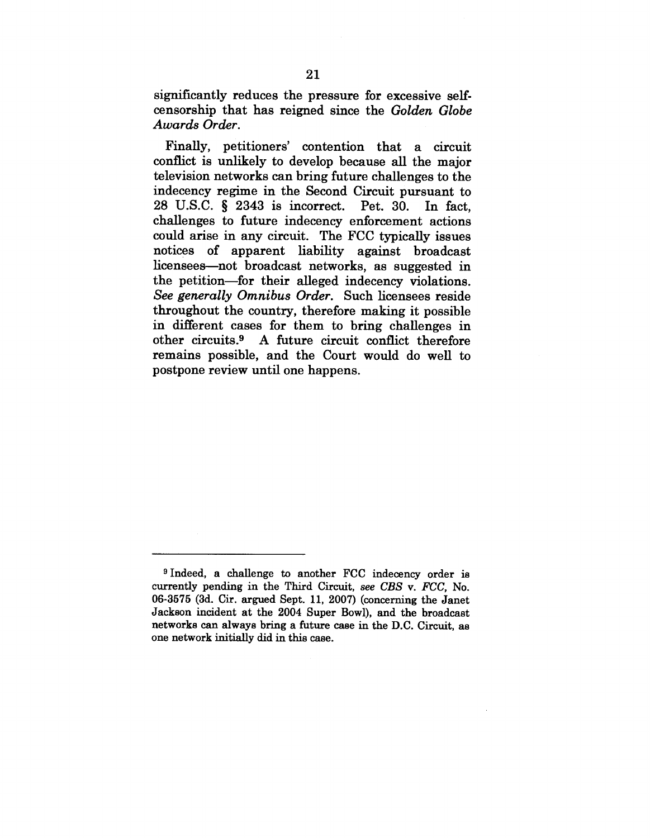significantly reduces the pressure for excessive selfcensorship that has reigned since the *Golden Globe Awards Order.*

Finally, petitioners' contention that a circuit conflict is unlikely to develop because all the major television networks can bring future challenges to the indecency regime in the Second Circuit pursuant to 28 U.S.C. § 2343 is incorrect. Pet. 30. In fact, challenges to future indecency enforcement actions could arise in any circuit. The FCC typically issues notices of apparent liability against broadcast licensees---not broadcast networks, as suggested in the petition—for their alleged indecency violations. *See generally Omnibus Order.* Such licensees reside throughout the country, therefore making it possible in different cases for them to bring challenges in other circuits.9 A future circuit conflict therefore remains possible, and the Court would do well to postpone review until one happens.

<sup>9</sup>Indeed, a challenge to another FCC indecency order is currently pending in the Third Circuit, *see CBS v. FCC,* No. 06-3575 (3d. Cir. argued Sept. 11, 2007) (concerning the Janet Jackson incident at the 2004 Super Bowl), and the broadcast networks can always bring a future case in the D.C. Circuit, as one network initially did in this case.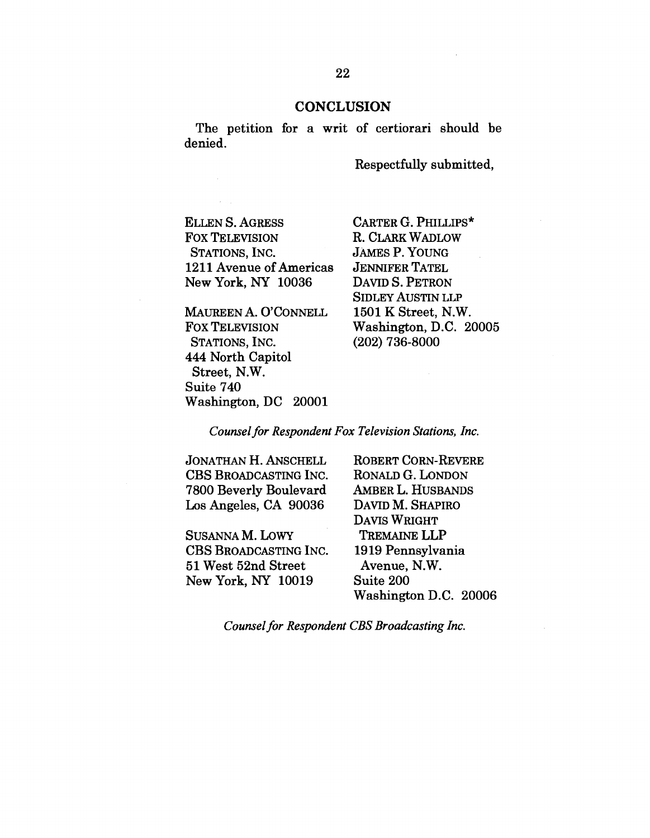## **CONCLUSION**

The petition for a writ of certiorari should be denied.

Respectfully submitted,

ELLEN S. AGRESS FOX TELEVISION STATIONS, INC. 1211 Avenue of Americas New York, NY 10036

MAUREEN A. O'CONNELL FOX TELEVISION STATIONS, INC. 444 North Capitol Street, N.W. Suite 740 Washington, DC 20001

CARTER G. PHILLIPS\* R. CLARK WADLOW JAMES P. YOUNG JENNIFER TATEL DAVID S. PETRON SIDLEY AUSTIN LLP 1501 K Street, N.W. Washington, D.C. 20005 (202) 736-8000

*Counsel for Respondent Fox Television Stations, Inc.*

JONATHAN H. ANSCHELL CBS BROADCASTING INC. 7800 Beverly Boulevard Los Angeles, CA 90036

SUSANNA M. LOWY CBS BROADCASTING INC. 51 West 52nd Street New York, NY 10019

ROBERT CORN-REVERE RONALD G. LONDON AMBER L. HUSBANDS DAVID M. SHAPIRO DAVIS WRIGHT TREMAINE LLP 1919 Pennsylvania Avenue, N.W. Suite 200 Washington D.C. 20006

*Counsel for Respondent CBS Broadcasting Inc.*